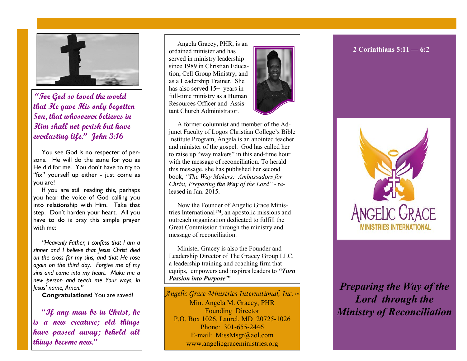

**"For God so loved the world that He gave His only begotten Son, that whosoever believes in Him shall not perish but have everlasting life." John 3:16**

You see God is no respecter of persons. He will do the same for you as He did for me. You don't have to try to "fix" yourself up either - just come as you are!

If you are still reading this, perhaps you hear the voice of God calling you into relationship with Him. Take that step. Don't harden your heart. All you have to do is pray this simple prayer with me:

*"Heavenly Father, I confess that I am a sinner and I believe that Jesus Christ died on the cross for my sins, and that He rose again on the third day. Forgive me of my sins and come into my heart. Make me a new person and teach me Your ways, in Jesus' name, Amen."*

**Congratulations!** You are saved!

**"If any man be in Christ, he is a new creature; old things have passed away; behold all things become new."** 

Angela Gracey, PHR, is an ordained minister and has served in ministry leadership since 1989 in Christian Education, Cell Group Ministry, and as a Leadership Trainer. She has also served  $15+$  years in full-time ministry as a Human Resources Officer and Assistant Church Administrator.



A former columnist and member of the Adjunct Faculty of Logos Christian College's Bible Institute Program, Angela is an anointed teacher and minister of the gospel. God has called her to raise up "way makers" in this end-time hour with the message of reconciliation. To herald this message, she has published her second book, *"The Way Makers: Ambassadors for Christ, Preparing the Way of the Lord"* - released in Jan. 2015.

Now the Founder of Angelic Grace Ministries International™, an apostolic missions and outreach organization dedicated to fulfill the Great Commission through the ministry and message of reconciliation.

Minister Gracey is also the Founder and Leadership Director of The Gracey Group LLC, a leadership training and coaching firm that equips, empowers and inspires leaders to *"Turn Passion into Purpose"*!

*Angelic Grace Ministries International, Inc.* ™ Min. Angela M. Gracey, PHR Founding Director P.O. Box 1026, Laurel, MD 20725-1026 Phone: 301-655-2446 E-mail: MissMsgr@aol.com www.angelicgraceministries.org

#### **2 Corinthians 5:11 — 6:2**



## *Preparing the Way of the Lord through the Ministry of Reconciliation*